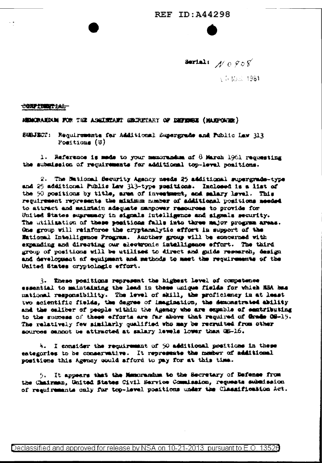### **REF ID: A44298**

Serial:  $A' \cap 908$ 

A 5 MAR 1961

<del>confermation.</del>

MENCRANDAM FOR THE ASSISTENCE SECRETARY OF DEFINISE (MANPOUGH)

SUBJECT: Requirements for Additional Supergrade and Public Law 313 Positions (U)

1. Raference is mode to your memorandum of  $8$  March 1961 requesting the submission of requirements for additional top-level positions.

2. The Mational Security Agency needs 25 additional supergrade-type and 25 additional Public Law 313-type positions. Inclosed is a list of the 50 positions by title, area of investment, and salary level. This requirement represents the minimum number of additional positions meeded to attract and maintain adequate manpower resources to provide for United States supremacy in signals intelligence and signals security. The utilization of these positions falls into three major program areas. One group will reinforce the cryptanalytic effort in support of the Mational Intelligence Program. Another group will be soncerned with expanding and directing our electronic intelligence effort. The third group of positions will be utilized to direct and guide research, design and development of equipment and mathods to meet the requirements of the United States cryptologic effort.

3. These positions represent the highest level of competence essential to maintaining the lead in these unique fields for which NSA has mational responsibility. The level of skill, the proficiency in at least two acientific fields, the degree of imagination, the demonstrated ability and the caliber of people within the Agency who are expable of eastributing to the success of these efforts are far above that required of Grade OS-15. The relatively few similarly qualified who may be recruited from other sources cannot be attracted at salary levels lower than GS-16.

4. I consider the requirement of 50 additional positions in these eategories to be conservative. It represents the member of additional positions this Agency could afford to pay for at this time.

5. It appears that the Memorandum to the Secretary of Defense from the Chairman, United States Civil Service Commission, requests submission of regulrements only far top-level positions under the Classification Act.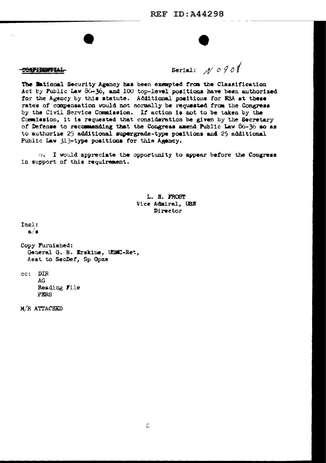#### CONFIDENTIAL

Serial:  $A' \circ 9$  of

The Entional Security Agency has been exempted from the Classification Act by Public Law 86-36, and 100 top-level positions have been authorized for the Agency by this statute. Additional positions for NSA at these rates of compensation would not normally be requested from the Congress by the Civil Service Commission. If action is not to be taken by the Commission, it is requested that consideration be given by the Secretary of Defense to recommending that the Congress amend Public Law 86-36 so as to authorize 25 additional supergrade-type positions and 25 additional Public Law 313-type positions for this Agency.

I would appreciate the opportunity to appear before the Congress  $O<sub>1</sub>$ in support of this requirement.

> L. H. FROST Vice Admiral, USN Director

Incl:  $a/s$ 

Copy Furnished: General G. B. Erskins, USMC-Ret, Asst to SecDef, Sp Opns

ec: DIR AG. Reading File **PERS** 

M/R ATTACHED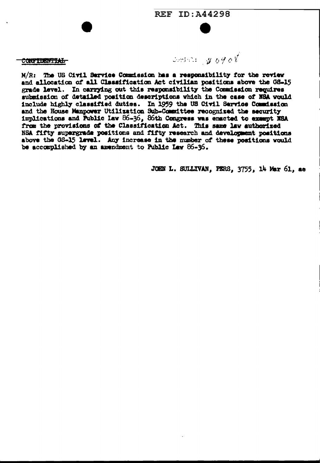CONTIERTIAL

 $Sent. : 20090$ 

M/R: The US Civil Service Commission has a responsibility for the review and allocation of all Classification Act civilian positions above the GS-15 grade level. In carrying out this responsibility the Commission requires submission of detailed position descriptions which in the case of NSA would include highly classified duties. In 1959 the US Civil Service Commission and the House Manpower Utilization Sub-Committee recognized the security implications and Public Law 86-36, 86th Congress was enacted to exampt NSA from the provisions of the Classification Act. This same law authorized NSA fifty supergrade positions and fifty research and development positions above the 08-15 level. Any increase in the number of these positions would be accomplished by an amendment to Public Law 86-36.

JOHN L. SULLIVAN, PERS, 3755, 14 Mar 61, ac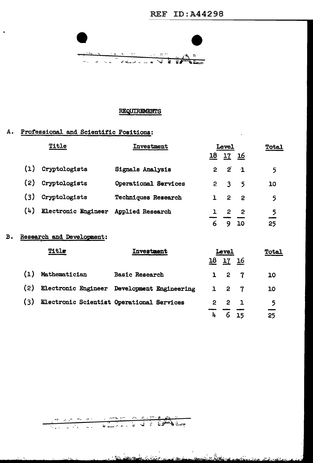

### **REQUIREMENTS**

## A. Professional and Scientific Positions:

| Title |                     | <b>Investment</b>          | <b>Level</b> |                |                          | <b>Total</b> |
|-------|---------------------|----------------------------|--------------|----------------|--------------------------|--------------|
|       |                     |                            | 18           | 17             | - 16                     |              |
| (1)   | Cryptologists       | Signals Analysis           | 2            | $2^{^{\circ}}$ | $\mathbf{1}$             | 5            |
| (2)   | Cryptologists       | Operational Services       | 2            | 3              | 5                        | 10           |
| (3)   | Cryptologists       | <b>Techniques Research</b> |              | $\mathbf{2}$   | $\overline{\phantom{a}}$ | 5            |
| (4)   | Electronic Engineer | Applied Research           |              | 2              | 2                        | 5            |
|       |                     |                            | 6            |                | <b>10</b>                | 25           |

#### Research and Development:  $B.$

l.

| Title |               | <b>Investment</b>                           | <b>Level</b> |         |           | Total |
|-------|---------------|---------------------------------------------|--------------|---------|-----------|-------|
|       |               |                                             | 18           | 17      | <u>16</u> |       |
| (1)   | Mathematician | <b>Basic Research</b>                       |              | 2 7     |           | 10    |
| (2)   |               | Electronic Engineer Development Engineering |              | $1 2 7$ |           | 10    |
| (3)   |               | Electronic Scientist Operational Services   | 2.           | - 2     |           | 5     |
|       |               |                                             |              | 6       | 15        | 25    |

# <u>an de maria a mort e partir de la p</u>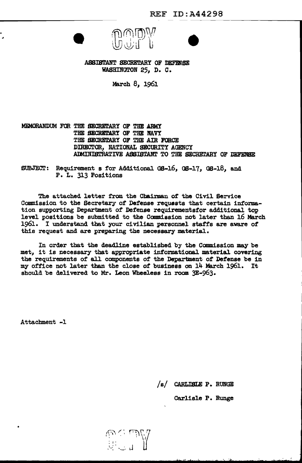

ASSISTANT SECRETARY OF DEFENSE WASHINGTON 25, D. C.

March 8, 1961

MEMORANDUM FOR THE SECRETARY OF THE ARMY THE SECRETARY OF THE NAVY THE SECRETARY OF THE AIR FORCE DIRECTOR, NATIONAL SECURITY AGENCY ADMINISTRATIVE ASSISTANT TO THE SECRETARY OF DEFENSE

SUBJECT: Requirement s for Additional GS-16, GS-17, GS-18, and P. L. 313 Positions

The attached letter from the Chairman of the Civil Service Commission to the Secretary of Defense requests that certain information supporting Department of Defense requirementsfor additional top level positions be submitted to the Commission not later than 16 March 1961. I understand that your civilian personnel staffs are aware of this request and are preparing the necessary material.

In order that the deadline established by the Commission may be met, it is necessary that appropriate informational material covering the requirements of all components of the Department of Defense be in my office not later than the close of business on 14 March 1961. It should be delivered to Mr. Leon Wheeless in room 3E-963.

Den M

Attachment -1

/s/ CARLISLE P. RUNGE

Carlisle P. Runge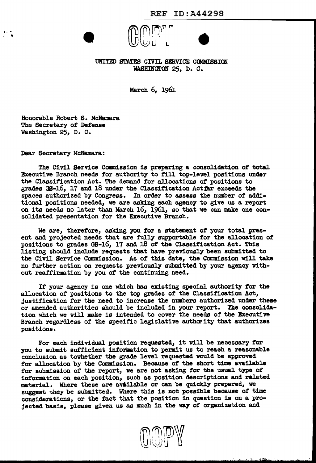

WASHINGTON 25, D. C.

March 6, 1961

Honorable Robert s. McNamara The Secretary of Defense Washington 25, D. c.

Dear Secretary McNamara:

 $\cdots$ ,

The Civil Service Commission is preparing a consolidation of total Executive Branch needs for authority to fill top-level positions under the Classification Act. The demand for allocations of positions to grades GS-16, 17 and 18 under the Classification Act $\bar{x}$ r exceeds the spaces authorized by Congress. In order to assess the number of additional positions needed, we are asking each agency to give us a report on its needs no later than March 16, 1961, so that we can make one consolidated presentation for the Executive Branch.

We are, therefore, asking you *tor* a statement of your total present and projected needs that are fully supportable for the allocation of positions to grades GS-16, 17 and 18 of the Classification Act. This listing should include requests that have previously been submitted to the Civil Service Canmission. As of this date, the Commission Will take no further action on requests previously submitted by your agency without reaffirmation by you of the continuing need.

If your agency is one which has existing special authority for the allocation of positions to the top grades of the Classification Act, Justification for the need to increase the numbers authorized under these or amended authorities should be included in your report. The consolidation which we will make is intended to cover the needs of the Executive Branch regardless of the specific legislative authority that authorizes positions.

For each individual position requested, it will be necessary for you to submit sufficient information to permit us to reach a reasonable conclusion as towhether the grade level requested would be approved for allocation by the Commission. Because of the short time available for submission of the report, we are not asking for the usual type of information on each position, such as position descriptions and related material. Where these are av&ilable or can be quickly prepared, we suggest they be submitted. Where this is not possible because of time considerations, or the fact that the position in question is on a projected basis, please given us as much in the way *ot* organization and



... ~or, > ,